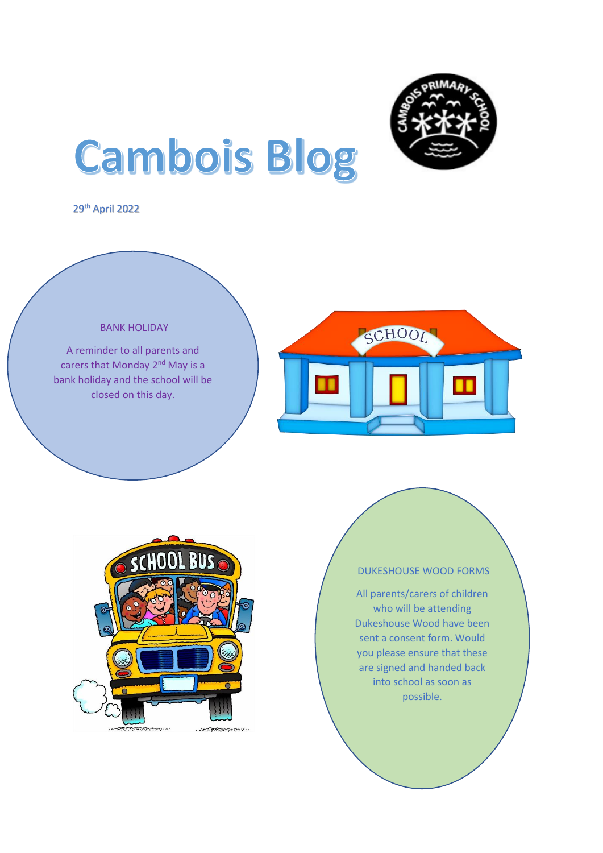

# **Cambois Blog**

29th April 2022

#### BANK HOLIDAY

A reminder to all parents and carers that Monday 2<sup>nd</sup> May is a bank holiday and the school will be closed on this day.





## DUKESHOUSE WOOD FORMS

All parents/carers of children who will be attending Dukeshouse Wood have been sent a consent form. Would you please ensure that these are signed and handed back into school as soon as possible.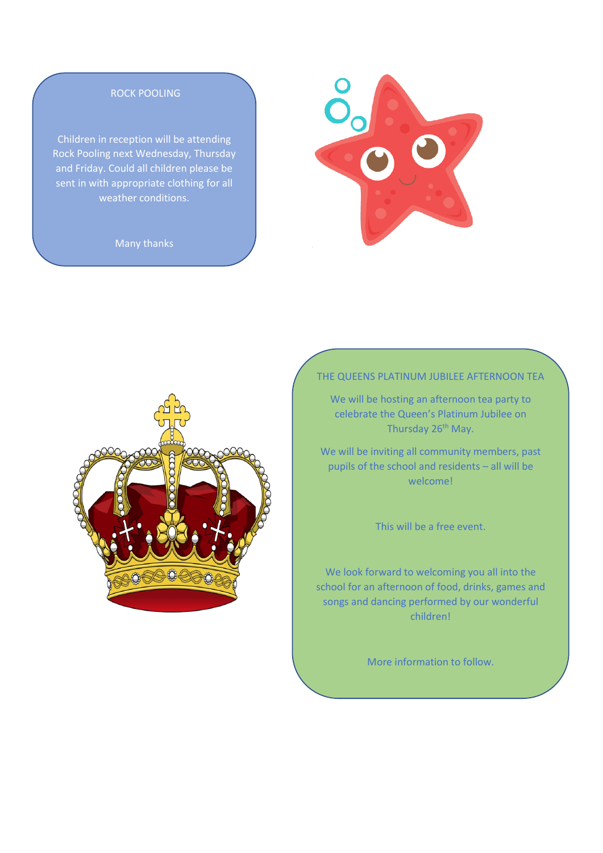#### ROCK POOLING

Children in reception will be attending Rock Pooling next Wednesday, Thursday and Friday. Could all children please be sent in with appropriate clothing for all weather conditions.

Many thanks





#### THE QUEENS PLATINUM JUBILEE AFTERNOON TEA

We will be hosting an afternoon tea party to celebrate the Queen's Platinum Jubilee on Thursday 26<sup>th</sup> May.

We will be inviting all community members, past pupils of the school and residents – all will be welcome!

This will be a free event.

We look forward to welcoming you all into the school for an afternoon of food, drinks, games and songs and dancing performed by our wonderful children!

More information to follow.